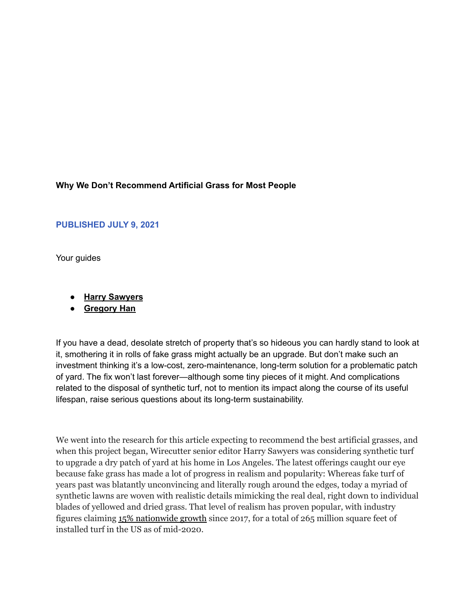### **Why We Don't Recommend Artificial Grass for Most People**

### **PUBLISHED JULY 9, 2021**

Your guides

- **● Harry [Sawyers](https://www.nytimes.com/wirecutter/authors/harry-sawyers/)**
- **● [Gregory](https://www.nytimes.com/wirecutter/authors/gregory-han/) Han**

If you have a dead, desolate stretch of property that's so hideous you can hardly stand to look at it, smothering it in rolls of fake grass might actually be an upgrade. But don't make such an investment thinking it's a low-cost, zero-maintenance, long-term solution for a problematic patch of yard. The fix won't last forever—although some tiny pieces of it might. And complications related to the disposal of synthetic turf, not to mention its impact along the course of its useful lifespan, raise serious questions about its long-term sustainability.

We went into the research for this article expecting to recommend the best artificial grasses, and when this project began, Wirecutter senior editor Harry Sawyers was considering synthetic turf to upgrade a dry patch of yard at his home in Los Angeles. The latest offerings caught our eye because fake grass has made a lot of progress in realism and popularity: Whereas fake turf of years past was blatantly unconvincing and literally rough around the edges, today a myriad of synthetic lawns are woven with realistic details mimicking the real deal, right down to individual blades of yellowed and dried grass. That level of realism has proven popular, with industry figures claiming 15% [nationwide](https://www.syntheticturfcouncil.org/news/512350/Synthetic-Turf-Council-STC-Releases-2020-Synthetic-Turf-Market-Report-for-North-America.htm) growth since 2017, for a total of 265 million square feet of installed turf in the US as of mid-2020.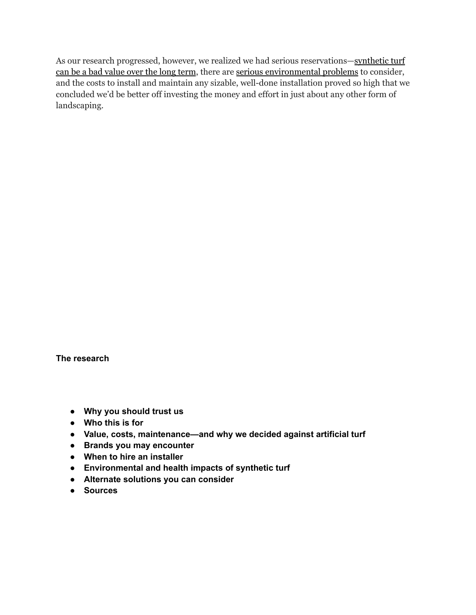As our research progressed, however, we realized we had serious reservations—[synthetic](https://www.nytimes.com/wirecutter/reviews/best-artificial-grass/#value-costs-maintenance-and-why-we-decided-against-artificial-turf) turf can be a bad [value](https://www.nytimes.com/wirecutter/reviews/best-artificial-grass/#value-costs-maintenance-and-why-we-decided-against-artificial-turf) over the long term, there are serious [environmental](https://www.nytimes.com/wirecutter/reviews/best-artificial-grass/#environmental-and-health-impacts-of-synthetic-turf) problems to consider, and the costs to install and maintain any sizable, well-done installation proved so high that we concluded we'd be better off investing the money and effort in just about any other form of landscaping.

**The research**

- **● Why you [should](https://www.nytimes.com/wirecutter/reviews/best-artificial-grass/#why-you-should-trust-us) trust us**
- **● [Who](https://www.nytimes.com/wirecutter/reviews/best-artificial-grass/#who-this-is-for) this is for**
- **● Value, costs, [maintenance—and](https://www.nytimes.com/wirecutter/reviews/best-artificial-grass/#value-costs-maintenance-and-why-we-decided-against-artificial-turf) why we decided against artificial turf**
- **● Brands you may [encounter](https://www.nytimes.com/wirecutter/reviews/best-artificial-grass/#brands-you-may-encounter)**
- **● When to hire an [installer](https://www.nytimes.com/wirecutter/reviews/best-artificial-grass/#when-to-hire-an-installer)**
- **● [Environmental](https://www.nytimes.com/wirecutter/reviews/best-artificial-grass/#environmental-and-health-impacts-of-synthetic-turf) and health impacts of synthetic turf**
- **● Alternate [solutions](https://www.nytimes.com/wirecutter/reviews/best-artificial-grass/#alternate-solutions-you-can-consider) you can consider**
- **● [Sources](https://www.nytimes.com/wirecutter/reviews/best-artificial-grass/#sources)**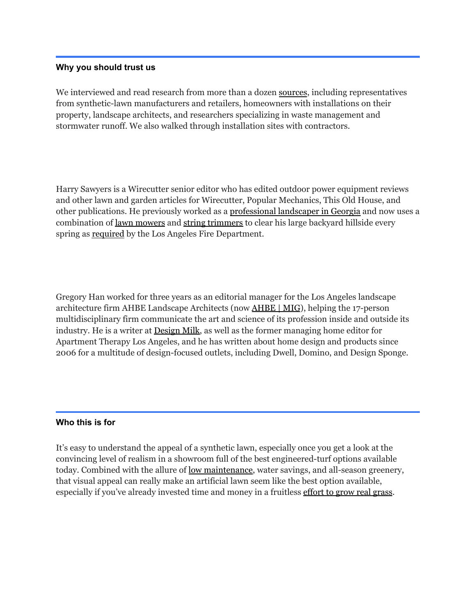#### **Why you should trust us**

We interviewed and read research from more than a dozen [sources](https://www.nytimes.com/wirecutter/reviews/best-artificial-grass/#sources), including representatives from synthetic-lawn manufacturers and retailers, homeowners with installations on their property, landscape architects, and researchers specializing in waste management and stormwater runoff. We also walked through installation sites with contractors.

Harry Sawyers is a Wirecutter senior editor who has edited outdoor power equipment reviews and other lawn and garden articles for Wirecutter, Popular Mechanics, This Old House, and other publications. He previously worked as a [professional](https://www.northwestlandscapegroup.com/) landscaper in Georgia and now uses a combination of lawn [mowers](https://www.nytimes.com/wirecutter/reviews/best-lawnmower/) and string [trimmers](https://www.nytimes.com/wirecutter/reviews/best-string-trimmers/) to clear his large backyard hillside every spring as [required](https://www.lafd.org/fire-prevention/brush) by the Los Angeles Fire Department.

Gregory Han worked for three years as an editorial manager for the Los Angeles landscape architecture firm AHBE Landscape Architects (now [AHBE](http://www.ahbe.com/) | MIG), helping the 17-person multidisciplinary firm communicate the art and science of its profession inside and outside its industry. He is a writer at [Design](http://design-milk.com/) Milk, as well as the former managing home editor for Apartment Therapy Los Angeles, and he has written about home design and products since 2006 for a multitude of design-focused outlets, including Dwell, Domino, and Design Sponge.

### **Who this is for**

It's easy to understand the appeal of a synthetic lawn, especially once you get a look at the convincing level of realism in a showroom full of the best engineered-turf options available today. Combined with the allure of low [maintenance](https://www.nytimes.com/wirecutter/reviews/best-artificial-grass/#value-costs-maintenance-and-why-we-decided-against-artificial-turf), water savings, and all-season greenery, that visual appeal can really make an artificial lawn seem like the best option available, especially if you've already invested time and money in a fruitless [effort](https://www.nytimes.com/wirecutter/reviews/best-artificial-grass/#alternate-solutions-you-can-consider) to grow real grass.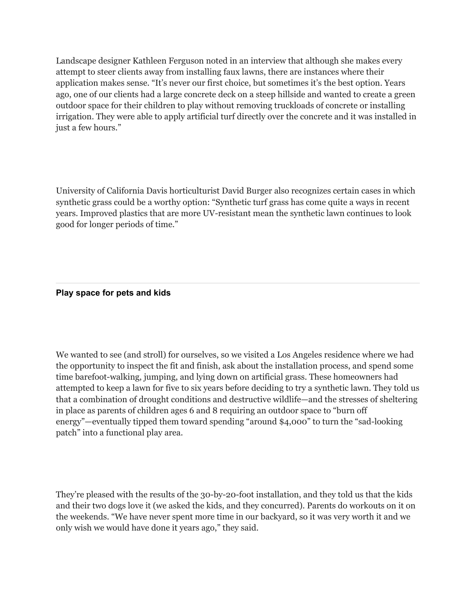Landscape designer Kathleen Ferguson noted in an interview that although she makes every attempt to steer clients away from installing faux lawns, there are instances where their application makes sense. "It's never our first choice, but sometimes it's the best option. Years ago, one of our clients had a large concrete deck on a steep hillside and wanted to create a green outdoor space for their children to play without removing truckloads of concrete or installing irrigation. They were able to apply artificial turf directly over the concrete and it was installed in just a few hours."

University of California Davis horticulturist David Burger also recognizes certain cases in which synthetic grass could be a worthy option: "Synthetic turf grass has come quite a ways in recent years. Improved plastics that are more UV-resistant mean the synthetic lawn continues to look good for longer periods of time."

### **Play space for pets and kids**

We wanted to see (and stroll) for ourselves, so we visited a Los Angeles residence where we had the opportunity to inspect the fit and finish, ask about the installation process, and spend some time barefoot-walking, jumping, and lying down on artificial grass. These homeowners had attempted to keep a lawn for five to six years before deciding to try a synthetic lawn. They told us that a combination of drought conditions and destructive wildlife—and the stresses of sheltering in place as parents of children ages 6 and 8 requiring an outdoor space to "burn off energy"—eventually tipped them toward spending "around \$4,000" to turn the "sad-looking patch" into a functional play area.

They're pleased with the results of the 30-by-20-foot installation, and they told us that the kids and their two dogs love it (we asked the kids, and they concurred). Parents do workouts on it on the weekends. "We have never spent more time in our backyard, so it was very worth it and we only wish we would have done it years ago," they said.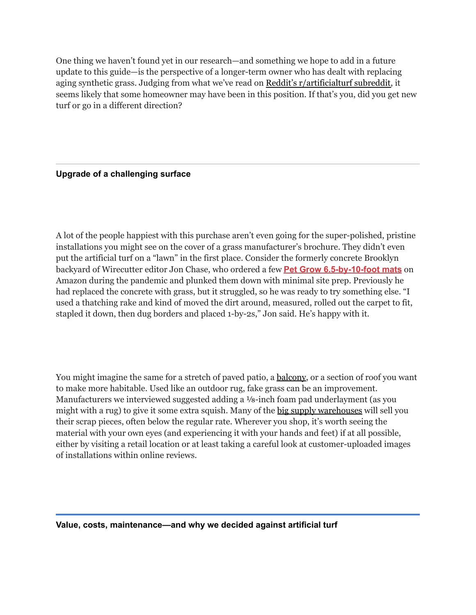One thing we haven't found yet in our research—and something we hope to add in a future update to this guide—is the perspective of a longer-term owner who has dealt with replacing aging synthetic grass. Judging from what we've read on Reddit's [r/artificialturf](https://www.reddit.com/r/artificialturf/) subreddit, it seems likely that some homeowner may have been in this position. If that's you, did you get new turf or go in a different direction?

# **Upgrade of a challenging surface**

A lot of the people happiest with this purchase aren't even going for the super-polished, pristine installations you might see on the cover of a grass manufacturer's brochure. They didn't even put the artificial turf on a "lawn" in the first place. Consider the formerly concrete Brooklyn backyard of Wirecutter editor Jon Chase, who ordered a few **Pet Grow [6.5-by-10-foot](https://www.nytimes.com/wirecutter/out/link/46007/173243/4/133328/?merchant=Amazon) mats** on Amazon during the pandemic and plunked them down with minimal site prep. Previously he had replaced the concrete with grass, but it struggled, so he was ready to try something else. "I used a thatching rake and kind of moved the dirt around, measured, rolled out the carpet to fit, stapled it down, then dug borders and placed 1-by-2s," Jon said. He's happy with it.

You might imagine the same for a stretch of paved patio, a <u>balcony</u>, or a section of roof you want to make more habitable. Used like an outdoor rug, fake grass can be an improvement. Manufacturers we interviewed suggested adding a ⅛-inch foam pad underlayment (as you might with a rug) to give it some extra squish. Many of the big supply [warehouses](https://www.nytimes.com/wirecutter/reviews/best-artificial-grass/#brands-you-may-encounter) will sell you their scrap pieces, often below the regular rate. Wherever you shop, it's worth seeing the material with your own eyes (and experiencing it with your hands and feet) if at all possible, either by visiting a retail location or at least taking a careful look at customer-uploaded images of installations within online reviews.

#### **Value, costs, maintenance—and why we decided against artificial turf**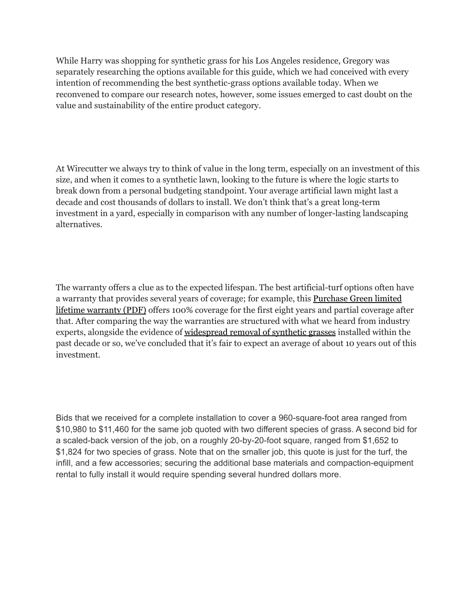While Harry was shopping for synthetic grass for his Los Angeles residence, Gregory was separately researching the options available for this guide, which we had conceived with every intention of recommending the best synthetic-grass options available today. When we reconvened to compare our research notes, however, some issues emerged to cast doubt on the value and sustainability of the entire product category.

At Wirecutter we always try to think of value in the long term, especially on an investment of this size, and when it comes to a synthetic lawn, looking to the future is where the logic starts to break down from a personal budgeting standpoint. Your average artificial lawn might last a decade and cost thousands of dollars to install. We don't think that's a great long-term investment in a yard, especially in comparison with any number of longer-lasting landscaping alternatives.

The warranty offers a clue as to the expected lifespan. The best artificial-turf options often have a warranty that provides several years of coverage; for example, this [Purchase](https://www.purchasegreen.com/wp-content/uploads/2017/03/Purchase-Green-Lifetime-Warranty.pdf) Green limited lifetime [warranty](https://www.purchasegreen.com/wp-content/uploads/2017/03/Purchase-Green-Lifetime-Warranty.pdf) (PDF) offers 100% coverage for the first eight years and partial coverage after that. After comparing the way the warranties are structured with what we heard from industry experts, alongside the evidence of [widespread](https://www.theatlantic.com/science/archive/2019/12/artificial-turf-fields-are-piling-no-recycling-fix/603874/) removal of synthetic grasses installed within the past decade or so, we've concluded that it's fair to expect an average of about 10 years out of this investment.

Bids that we received for a complete installation to cover a 960-square-foot area ranged from \$10,980 to \$11,460 for the same job quoted with two different species of grass. A second bid for a scaled-back version of the job, on a roughly 20-by-20-foot square, ranged from \$1,652 to \$1,824 for two species of grass. Note that on the smaller job, this quote is just for the turf, the infill, and a few accessories; securing the additional base materials and compaction-equipment rental to fully install it would require spending several hundred dollars more.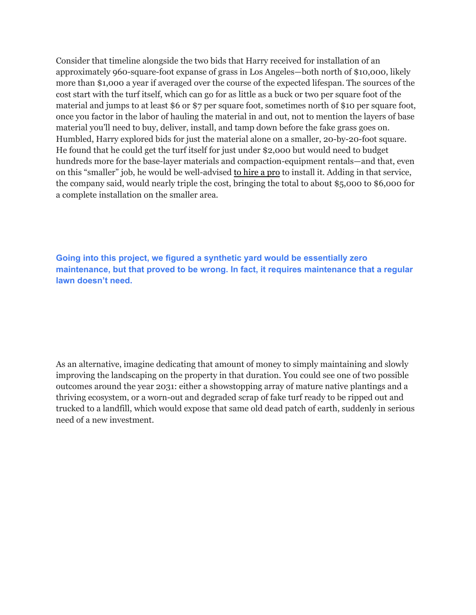Consider that timeline alongside the two bids that Harry received for installation of an approximately 960-square-foot expanse of grass in Los Angeles—both north of \$10,000, likely more than \$1,000 a year if averaged over the course of the expected lifespan. The sources of the cost start with the turf itself, which can go for as little as a buck or two per square foot of the material and jumps to at least \$6 or \$7 per square foot, sometimes north of \$10 per square foot, once you factor in the labor of hauling the material in and out, not to mention the layers of base material you'll need to buy, deliver, install, and tamp down before the fake grass goes on. Humbled, Harry explored bids for just the material alone on a smaller, 20-by-20-foot square. He found that he could get the turf itself for just under \$2,000 but would need to budget hundreds more for the base-layer materials and compaction-equipment rentals—and that, even on this "smaller" job, he would be well-advised to [hire](https://www.nytimes.com/wirecutter/reviews/best-artificial-grass/#when-to-hire-an-installer) a pro to install it. Adding in that service, the company said, would nearly triple the cost, bringing the total to about \$5,000 to \$6,000 for a complete installation on the smaller area.

**Going into this project, we figured a synthetic yard would be essentially zero maintenance, but that proved to be wrong. In fact, it requires maintenance that a regular lawn doesn't need.**

As an alternative, imagine dedicating that amount of money to simply maintaining and slowly improving the landscaping on the property in that duration. You could see one of two possible outcomes around the year 2031: either a showstopping array of mature native plantings and a thriving ecosystem, or a worn-out and degraded scrap of fake turf ready to be ripped out and trucked to a landfill, which would expose that same old dead patch of earth, suddenly in serious need of a new investment.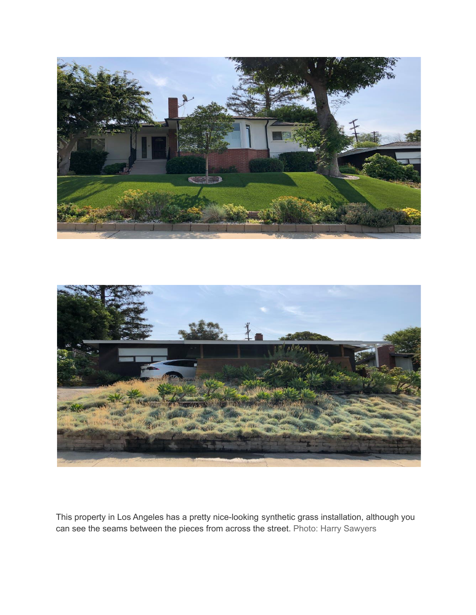



This property in Los Angeles has a pretty nice-looking synthetic grass installation, although you can see the seams between the pieces from across the street. Photo: Harry Sawyers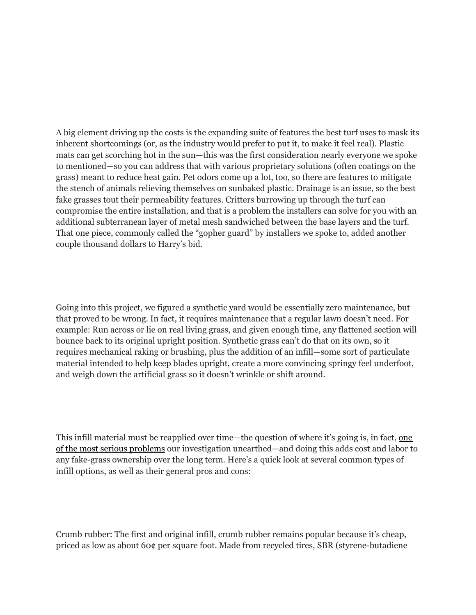A big element driving up the costs is the expanding suite of features the best turf uses to mask its inherent shortcomings (or, as the industry would prefer to put it, to make it feel real). Plastic mats can get scorching hot in the sun—this was the first consideration nearly everyone we spoke to mentioned—so you can address that with various proprietary solutions (often coatings on the grass) meant to reduce heat gain. Pet odors come up a lot, too, so there are features to mitigate the stench of animals relieving themselves on sunbaked plastic. Drainage is an issue, so the best fake grasses tout their permeability features. Critters burrowing up through the turf can compromise the entire installation, and that is a problem the installers can solve for you with an additional subterranean layer of metal mesh sandwiched between the base layers and the turf. That one piece, commonly called the "gopher guard" by installers we spoke to, added another couple thousand dollars to Harry's bid.

Going into this project, we figured a synthetic yard would be essentially zero maintenance, but that proved to be wrong. In fact, it requires maintenance that a regular lawn doesn't need. For example: Run across or lie on real living grass, and given enough time, any flattened section will bounce back to its original upright position. Synthetic grass can't do that on its own, so it requires mechanical raking or brushing, plus the addition of an infill—some sort of particulate material intended to help keep blades upright, create a more convincing springy feel underfoot, and weigh down the artificial grass so it doesn't wrinkle or shift around.

This infill material must be reapplied over time—the question of where it's going is, in fact, [one](https://www.nytimes.com/wirecutter/reviews/best-artificial-grass/#environmental-and-health-impacts-of-synthetic-turf) of the most serious [problems](https://www.nytimes.com/wirecutter/reviews/best-artificial-grass/#environmental-and-health-impacts-of-synthetic-turf) our investigation unearthed—and doing this adds cost and labor to any fake-grass ownership over the long term. Here's a quick look at several common types of infill options, as well as their general pros and cons:

Crumb rubber: The first and original infill, crumb rubber remains popular because it's cheap, priced as low as about 60¢ per square foot. Made from recycled tires, SBR (styrene-butadiene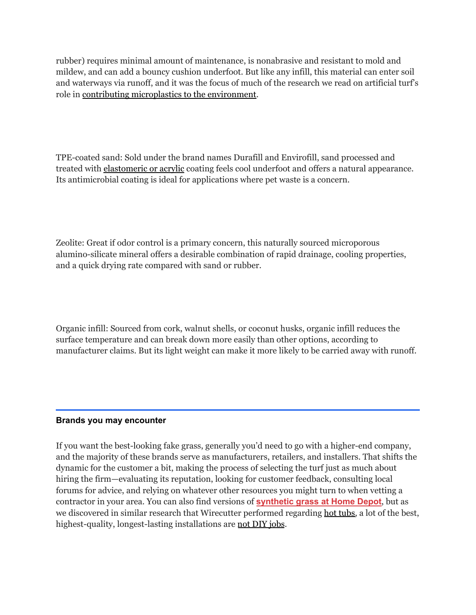rubber) requires minimal amount of maintenance, is nonabrasive and resistant to mold and mildew, and can add a bouncy cushion underfoot. But like any infill, this material can enter soil and waterways via runoff, and it was the focus of much of the research we read on artificial turf's role in contributing [microplastics](https://www.nytimes.com/wirecutter/reviews/best-artificial-grass/#environmental-and-health-impacts-of-synthetic-turf) to the environment.

TPE-coated sand: Sold under the brand names Durafill and Envirofill, sand processed and treated with [elastomeric](https://www.syntheticturfcouncil.org/page/glossary) or acrylic coating feels cool underfoot and offers a natural appearance. Its antimicrobial coating is ideal for applications where pet waste is a concern.

Zeolite: Great if odor control is a primary concern, this naturally sourced microporous alumino-silicate mineral offers a desirable combination of rapid drainage, cooling properties, and a quick drying rate compared with sand or rubber.

Organic infill: Sourced from cork, walnut shells, or coconut husks, organic infill reduces the surface temperature and can break down more easily than other options, according to manufacturer claims. But its light weight can make it more likely to be carried away with runoff.

### **Brands you may encounter**

If you want the best-looking fake grass, generally you'd need to go with a higher-end company, and the majority of these brands serve as manufacturers, retailers, and installers. That shifts the dynamic for the customer a bit, making the process of selecting the turf just as much about hiring the firm—evaluating its reputation, looking for customer feedback, consulting local forums for advice, and relying on whatever other resources you might turn to when vetting a contractor in your area. You can also find versions of **[synthetic](https://www.nytimes.com/wirecutter/out/link/46023/173261/4/133365/?merchant=Home%20Depot) grass at Home Depot**, but as we discovered in similar research that Wirecutter performed regarding hot [tubs,](https://www.nytimes.com/wirecutter/guides/how-to-shop-for-hot-tub/) a lot of the best, highest-quality, longest-lasting installations are not DIY [jobs](https://www.nytimes.com/wirecutter/reviews/best-artificial-grass/#when-to-hire-an-installer).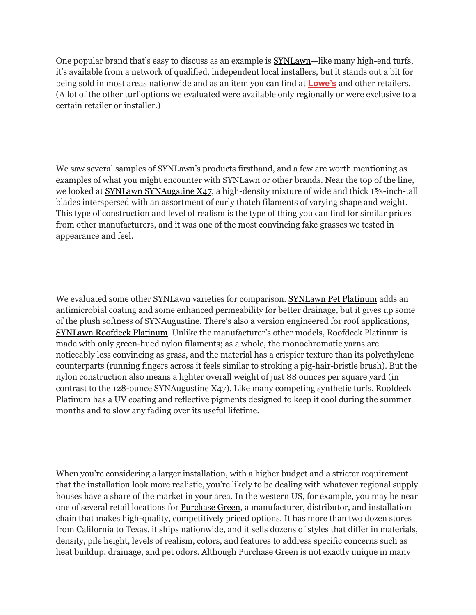One popular brand that's easy to discuss as an example is [SYNLawn—](https://www.synlawn.com/)like many high-end turfs, it's available from a network of qualified, independent local installers, but it stands out a bit for being sold in most areas nationwide and as an item you can find at **[Lowe's](https://www.nytimes.com/wirecutter/out/link/46024/173262/4/133366/?merchant=Lowe%27s)** and other retailers. (A lot of the other turf options we evaluated were available only regionally or were exclusive to a certain retailer or installer.)

We saw several samples of SYNLawn's products firsthand, and a few are worth mentioning as examples of what you might encounter with SYNLawn or other brands. Near the top of the line, we looked at SYNLawn [SYNAugstine](https://www.synlawn.com/shop/synaugustine-X47/) X47, a high-density mixture of wide and thick 1<sup>5</sup>%-inch-tall blades interspersed with an assortment of curly thatch filaments of varying shape and weight. This type of construction and level of realism is the type of thing you can find for similar prices from other manufacturers, and it was one of the most convincing fake grasses we tested in appearance and feel.

We evaluated some other SYNLawn varieties for comparison. [SYNLawn](https://www.synlawn.com/shop/synlawn-pet-platinum/) Pet Platinum adds an antimicrobial coating and some enhanced permeability for better drainage, but it gives up some of the plush softness of SYNAugustine. There's also a version engineered for roof applications, [SYNLawn](https://www.synlawn.com/shop/synlawn-roofdeck-platinum/) Roofdeck Platinum. Unlike the manufacturer's other models, Roofdeck Platinum is made with only green-hued nylon filaments; as a whole, the monochromatic yarns are noticeably less convincing as grass, and the material has a crispier texture than its polyethylene counterparts (running fingers across it feels similar to stroking a pig-hair-bristle brush). But the nylon construction also means a lighter overall weight of just 88 ounces per square yard (in contrast to the 128-ounce SYNAugustine X47). Like many competing synthetic turfs, Roofdeck Platinum has a UV coating and reflective pigments designed to keep it cool during the summer months and to slow any fading over its useful lifetime.

When you're considering a larger installation, with a higher budget and a stricter requirement that the installation look more realistic, you're likely to be dealing with whatever regional supply houses have a share of the market in your area. In the western US, for example, you may be near one of several retail locations for [Purchase](https://www.purchasegreen.com/) Green, a manufacturer, distributor, and installation chain that makes high-quality, competitively priced options. It has more than two dozen stores from California to Texas, it ships nationwide, and it sells dozens of styles that differ in materials, density, pile height, levels of realism, colors, and features to address specific concerns such as heat buildup, drainage, and pet odors. Although Purchase Green is not exactly unique in many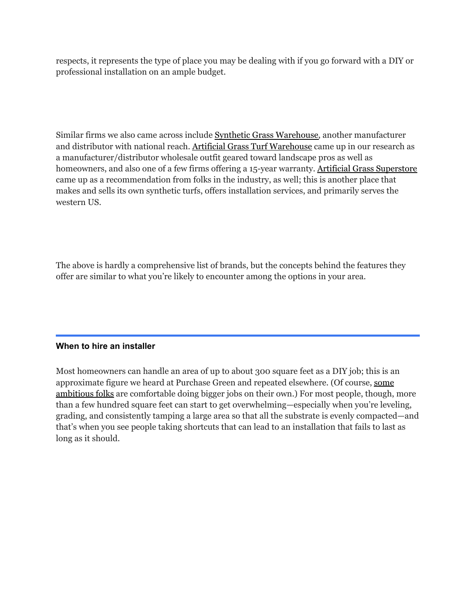respects, it represents the type of place you may be dealing with if you go forward with a DIY or professional installation on an ample budget.

Similar firms we also came across include Synthetic Grass [Warehouse,](https://syntheticgrasswarehouse.com/) another manufacturer and distributor with national reach. Artificial Grass Turf [Warehouse](https://artificialgrassturfwarehouse.com/) came up in our research as a manufacturer/distributor wholesale outfit geared toward landscape pros as well as homeowners, and also one of a few firms offering a 15-year warranty. Artificial Grass [Superstore](https://artificialgrasssuperstore.com/) came up as a recommendation from folks in the industry, as well; this is another place that makes and sells its own synthetic turfs, offers installation services, and primarily serves the western US.

The above is hardly a comprehensive list of brands, but the concepts behind the features they offer are similar to what you're likely to encounter among the options in your area.

### **When to hire an installer**

Most homeowners can handle an area of up to about 300 square feet as a DIY job; this is an approximate figure we heard at Purchase Green and repeated elsewhere. (Of course, [some](https://www.reddit.com/r/artificialturf/comments/nman1b/issue_with_sub_base_help/) [ambitious](https://www.reddit.com/r/artificialturf/comments/nman1b/issue_with_sub_base_help/) folks are comfortable doing bigger jobs on their own.) For most people, though, more than a few hundred square feet can start to get overwhelming—especially when you're leveling, grading, and consistently tamping a large area so that all the substrate is evenly compacted—and that's when you see people taking shortcuts that can lead to an installation that fails to last as long as it should.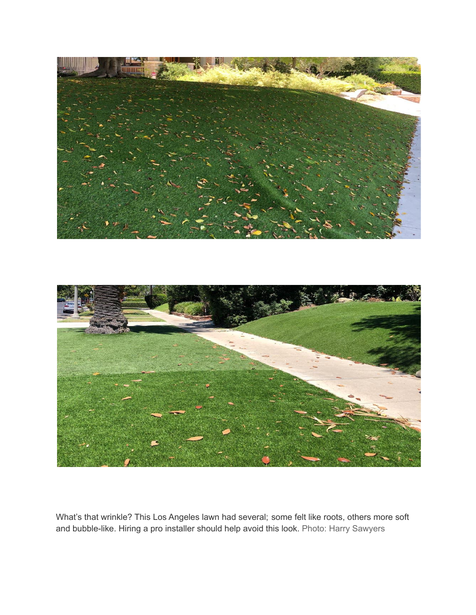



What's that wrinkle? This Los Angeles lawn had several; some felt like roots, others more soft and bubble-like. Hiring a pro installer should help avoid this look. Photo: Harry Sawyers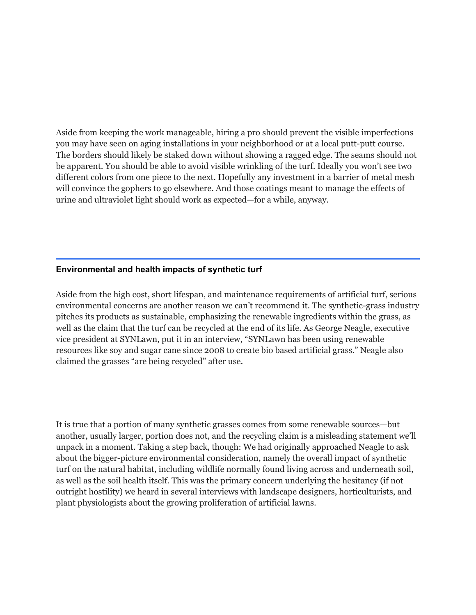Aside from keeping the work manageable, hiring a pro should prevent the visible imperfections you may have seen on aging installations in your neighborhood or at a local putt-putt course. The borders should likely be staked down without showing a ragged edge. The seams should not be apparent. You should be able to avoid visible wrinkling of the turf. Ideally you won't see two different colors from one piece to the next. Hopefully any investment in a barrier of metal mesh will convince the gophers to go elsewhere. And those coatings meant to manage the effects of urine and ultraviolet light should work as expected—for a while, anyway.

#### **Environmental and health impacts of synthetic turf**

Aside from the high cost, short lifespan, and maintenance requirements of artificial turf, serious environmental concerns are another reason we can't recommend it. The synthetic-grass industry pitches its products as sustainable, emphasizing the renewable ingredients within the grass, as well as the claim that the turf can be recycled at the end of its life. As George Neagle, executive vice president at SYNLawn, put it in an interview, "SYNLawn has been using renewable resources like soy and sugar cane since 2008 to create bio based artificial grass." Neagle also claimed the grasses "are being recycled" after use.

It is true that a portion of many synthetic grasses comes from some renewable sources—but another, usually larger, portion does not, and the recycling claim is a misleading statement we'll unpack in a moment. Taking a step back, though: We had originally approached Neagle to ask about the bigger-picture environmental consideration, namely the overall impact of synthetic turf on the natural habitat, including wildlife normally found living across and underneath soil, as well as the soil health itself. This was the primary concern underlying the hesitancy (if not outright hostility) we heard in several interviews with landscape designers, horticulturists, and plant physiologists about the growing proliferation of artificial lawns.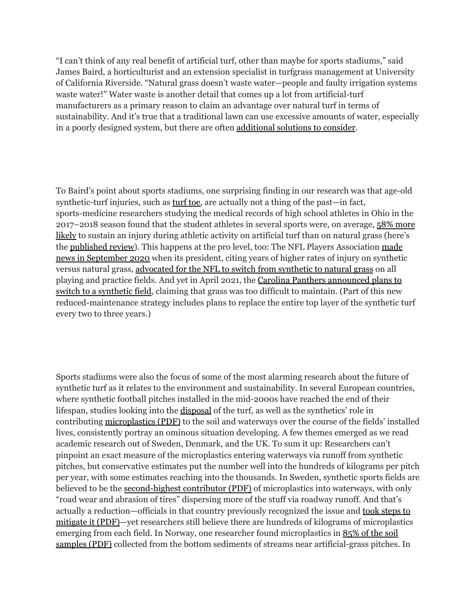"I can't think of any real benefit of artificial turf, other than maybe for sports stadiums," said James Baird, a horticulturist and an extension specialist in turfgrass management at University of California Riverside. "Natural grass doesn't waste water—people and faulty irrigation systems waste water!" Water waste is another detail that comes up a lot from artificial-turf manufacturers as a primary reason to claim an advantage over natural turf in terms of sustainability. And it's true that a traditional lawn can use excessive amounts of water, especially in a poorly designed system, but there are often [additional](https://www.nytimes.com/wirecutter/reviews/best-artificial-grass/#alternate-solutions-you-can-consider) solutions to consider.

To Baird's point about sports stadiums, one surprising finding in our research was that age-old synthetic-turf injuries, such as [turf](https://orthoinfo.aaos.org/en/diseases--conditions/turf-toe/) toe, are actually not a thing of the past—in fact, sports-medicine researchers studying the medical records of high school athletes in Ohio in the 2017–2018 season found that the student athletes in several sports were, on average, 58% [more](https://www.uhhospitals.org/for-clinicians/articles-and-news/articles/2019/08/artificial-turf-versus-natural-grass) [likely](https://www.uhhospitals.org/for-clinicians/articles-and-news/articles/2019/08/artificial-turf-versus-natural-grass) to sustain an injury during athletic activity on artificial turf than on natural grass (here's the [published](https://journals.lww.com/c-orthopaedicpractice/Abstract/9000/Injury_incidence_is_higher_on_artificial_turf.98905.aspx) review). This happens at the pro level, too: The NFL Players Association [made](https://apnews.com/article/nfl-football-archive-9b34d4402f2f82ae60708605f65aa560) news in [September](https://apnews.com/article/nfl-football-archive-9b34d4402f2f82ae60708605f65aa560) 2020 when its president, citing years of higher rates of injury on synthetic versus natural grass, [advocated](https://nflpa.com/posts/only-natural-grass-can-level-the-nfls-playing-field) for the NFL to switch from synthetic to natural grass on all playing and practice fields. And yet in April 2021, the Carolina Panthers [announced](https://www.panthers.com/news/new-playing-surface-bank-of-america-stadium) plans to switch to a [synthetic](https://www.panthers.com/news/new-playing-surface-bank-of-america-stadium) field, claiming that grass was too difficult to maintain. (Part of this new reduced-maintenance strategy includes plans to replace the entire top layer of the synthetic turf every two to three years.)

Sports stadiums were also the focus of some of the most alarming research about the future of synthetic turf as it relates to the environment and sustainability. In several European countries, where synthetic football pitches installed in the mid-2000s have reached the end of their lifespan, studies looking into the [disposal](https://www.theatlantic.com/science/archive/2019/12/artificial-turf-fields-are-piling-no-recycling-fix/603874/) of the turf, as well as the synthetics' role in contributing [microplastics](https://www.naturvardsverket.se/Documents/publ-filer/6900/978-91-620-6957-5.pdf?pid=28120) (PDF) to the soil and waterways over the course of the fields' installed lives, consistently portray an ominous situation developing. A few themes emerged as we read academic research out of Sweden, Denmark, and the UK. To sum it up: Researchers can't pinpoint an exact measure of the microplastics entering waterways via runoff from synthetic pitches, but conservative estimates put the number well into the hundreds of kilograms per pitch per year, with some estimates reaching into the thousands. In Sweden, synthetic sports fields are believed to be the [second-highest](https://www.naturvardsverket.se/Documents/publ-filer/6900/978-91-620-6957-5.pdf?pid=28120) contributor (PDF) of microplastics into waterways, with only "road wear and abrasion of tires" dispersing more of the stuff via roadway runoff. And that's actually a reduction—officials in that country previously recognized the issue and took [steps](https://www.naturvardsverket.se/Documents/publ-filer/6900/978-91-620-6957-5.pdf?pid=28120) to [mitigate](https://www.naturvardsverket.se/Documents/publ-filer/6900/978-91-620-6957-5.pdf?pid=28120) it (PDF)—yet researchers still believe there are hundreds of kilograms of microplastics emerging from each field. In Norway, one researcher found microplastics in [85%](https://static02.nmbu.no/mina/studier/moppgaver/2018-Korbol.pdf) of the soil [samples](https://static02.nmbu.no/mina/studier/moppgaver/2018-Korbol.pdf) (PDF) collected from the bottom sediments of streams near artificial-grass pitches. In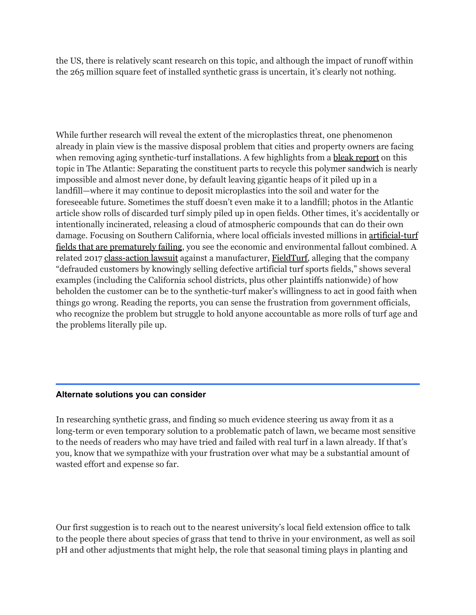the US, there is relatively scant research on this topic, and although the impact of runoff within the 265 million square feet of installed synthetic grass is uncertain, it's clearly not nothing.

While further research will reveal the extent of the microplastics threat, one phenomenon already in plain view is the massive disposal problem that cities and property owners are facing when removing aging synthetic-turf installations. A few highlights from a bleak [report](https://www.theatlantic.com/science/archive/2019/12/artificial-turf-fields-are-piling-no-recycling-fix/603874/) on this topic in The Atlantic: Separating the constituent parts to recycle this polymer sandwich is nearly impossible and almost never done, by default leaving gigantic heaps of it piled up in a landfill—where it may continue to deposit microplastics into the soil and water for the foreseeable future. Sometimes the stuff doesn't even make it to a landfill; photos in the Atlantic article show rolls of discarded turf simply piled up in open fields. Other times, it's accidentally or intentionally incinerated, releasing a cloud of atmospheric compounds that can do their own damage. Focusing on Southern California, where local officials invested millions in [artificial-turf](https://www.dailybulletin.com/2018/06/19/artificial-turf-fields-are-failing-across-southern-california-costing-millions-heres-why/) fields that are [prematurely](https://www.dailybulletin.com/2018/06/19/artificial-turf-fields-are-failing-across-southern-california-costing-millions-heres-why/) failing, you see the economic and environmental fallout combined. A related 2017 [class-action](https://arobertsonlaw.com/fieldturf-class-action-lawsuit) lawsuit against a manufacturer, [FieldTurf,](https://fieldturf.com/en/) alleging that the company "defrauded customers by knowingly selling defective artificial turf sports fields," shows several examples (including the California school districts, plus other plaintiffs nationwide) of how beholden the customer can be to the synthetic-turf maker's willingness to act in good faith when things go wrong. Reading the reports, you can sense the frustration from government officials, who recognize the problem but struggle to hold anyone accountable as more rolls of turf age and the problems literally pile up.

### **Alternate solutions you can consider**

In researching synthetic grass, and finding so much evidence steering us away from it as a long-term or even temporary solution to a problematic patch of lawn, we became most sensitive to the needs of readers who may have tried and failed with real turf in a lawn already. If that's you, know that we sympathize with your frustration over what may be a substantial amount of wasted effort and expense so far.

Our first suggestion is to reach out to the nearest university's local field extension office to talk to the people there about species of grass that tend to thrive in your environment, as well as soil pH and other adjustments that might help, the role that seasonal timing plays in planting and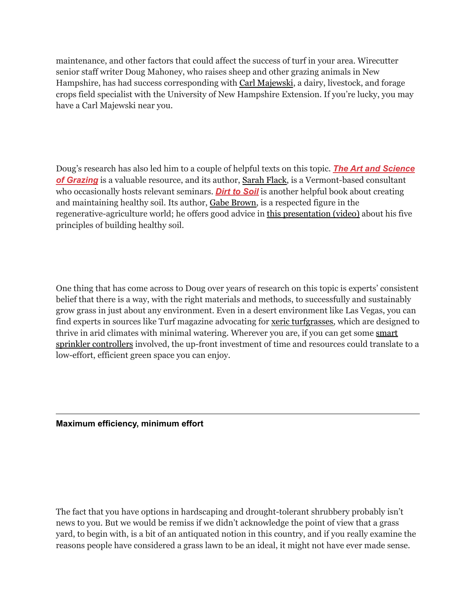maintenance, and other factors that could affect the success of turf in your area. Wirecutter senior staff writer Doug Mahoney, who raises sheep and other grazing animals in New Hampshire, has had success corresponding with Carl [Majewski](https://extension.unh.edu/staff/person/carlmajewski), a dairy, livestock, and forage crops field specialist with the University of New Hampshire Extension. If you're lucky, you may have a Carl Majewski near you.

Doug's research has also led him to a couple of helpful texts on this topic. *The Art and [Science](https://www.nytimes.com/wirecutter/out/link/46008/173244/4/133329/?merchant=Amazon) of [Grazing](https://www.nytimes.com/wirecutter/out/link/46008/173244/4/133329/?merchant=Amazon)* is a valuable resource, and its author, [Sarah](http://www.sarahflackconsulting.com/) Flack, is a Vermont-based consultant who occasionally hosts relevant seminars. *Dirt to [Soil](https://www.nytimes.com/wirecutter/out/link/46009/173245/4/133330/?merchant=Amazon)* is another helpful book about creating and maintaining healthy soil. Its author, Gabe [Brown,](http://brownsranch.us/) is a respected figure in the regenerative-agriculture world; he offers good advice in this [presentation](https://www.youtube.com/watch?v=9yPjoh9YJMk) (video) about his five principles of building healthy soil.

One thing that has come across to Doug over years of research on this topic is experts' consistent belief that there is a way, with the right materials and methods, to successfully and sustainably grow grass in just about any environment. Even in a desert environment like Las Vegas, you can find experts in sources like Turf magazine advocating for xeric [turfgrasses,](https://www.turfmagazine.com/turfmagazine/landscape-trends/experts-choices-for-xeric-turfgrass-more/) which are designed to thrive in arid climates with minimal watering. Wherever you are, if you can get some [smart](https://www.nytimes.com/wirecutter/reviews/best-smart-sprinkler-controller/) sprinkler [controllers](https://www.nytimes.com/wirecutter/reviews/best-smart-sprinkler-controller/) involved, the up-front investment of time and resources could translate to a low-effort, efficient green space you can enjoy.

**Maximum efficiency, minimum effort**

The fact that you have options in hardscaping and drought-tolerant shrubbery probably isn't news to you. But we would be remiss if we didn't acknowledge the point of view that a grass yard, to begin with, is a bit of an antiquated notion in this country, and if you really examine the reasons people have considered a grass lawn to be an ideal, it might not have ever made sense.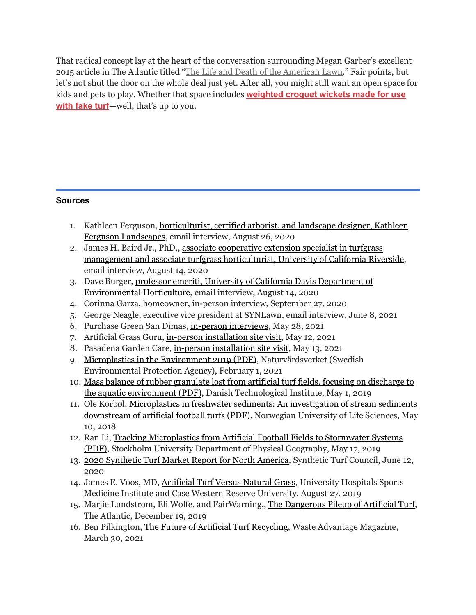That radical concept lay at the heart of the conversation surrounding Megan Garber's excellent 2015 article in The Atlantic titled "The Life and Death of the [American](https://www.theatlantic.com/entertainment/archive/2015/08/the-american-lawn-a-eulogy/402745/) Lawn." Fair points, but let's not shut the door on the whole deal just yet. After all, you might still want an open space for kids and pets to play. Whether that space includes **[weighted](https://www.nytimes.com/wirecutter/out/link/46010/173246/4/133331/?merchant=National%20Croquet%20Center%20Pro%20Shop) croquet wickets made for use with [fake](https://www.nytimes.com/wirecutter/out/link/46010/173246/4/133331/?merchant=National%20Croquet%20Center%20Pro%20Shop) turf**—well, that's up to you.

# **Sources**

- 1. Kathleen Ferguson, [horticulturist,](http://www.kathleenferguson.com/) certified arborist, and landscape designer, Kathleen Ferguson [Landscapes,](http://www.kathleenferguson.com/) email interview, August 26, 2020
- 2. James H. Baird Jr., PhD,, associate [cooperative](https://ucanr.edu/?facultyid=3277) extension specialist in turfgrass management and associate turfgrass [horticulturist,](https://ucanr.edu/?facultyid=3277) University of California Riverside, email interview, August 14, 2020
- 3. Dave Burger, professor emeriti, University of California Davis [Department](https://www.plantsciences.ucdavis.edu/people/david-burger) of [Environmental](https://www.plantsciences.ucdavis.edu/people/david-burger) Horticulture, email interview, August 14, 2020
- 4. Corinna Garza, homeowner, in-person interview, September 27, 2020
- 5. George Neagle, executive vice president at SYNLawn, email interview, June 8, 2021
- 6. Purchase Green San Dimas, in-person [interviews](https://www.purchasegreen.com/san-dimas/team/), May 28, 2021
- 7. Artificial Grass Guru, in-person [installation](https://artificialgrassguru.com/) site visit, May 12, 2021
- 8. Pasadena Garden Care, in-person [installation](https://www.yelp.com/biz/pasadena-garden-care-pasadena) site visit, May 13, 2021
- 9. [Microplastics](https://www.naturvardsverket.se/Documents/publ-filer/6900/978-91-620-6957-5.pdf?pid=28120) in the Environment 2019 (PDF), Naturvårdsverket (Swedish Environmental Protection Agency), February 1, 2021
- 10. Mass balance of rubber granulate lost from artificial turf fields, focusing on [discharge](https://www.genan.eu/wp-content/uploads/2020/02/Teknologisk-Institut_Mass-balance-of-rubber-granulate-lost-from-artificial-turf-fields_May-2019_v1.pdf) to the aquatic [environment](https://www.genan.eu/wp-content/uploads/2020/02/Teknologisk-Institut_Mass-balance-of-rubber-granulate-lost-from-artificial-turf-fields_May-2019_v1.pdf) (PDF), Danish Technological Institute, May 1, 2019
- 11. Ole Korbøl, [Microplastics](https://static02.nmbu.no/mina/studier/moppgaver/2018-Korbol.pdf) in freshwater sediments: An investigation of stream sediments [downstream](https://static02.nmbu.no/mina/studier/moppgaver/2018-Korbol.pdf) of artificial football turfs (PDF), Norwegian University of Life Sciences, May 10, 2018
- 12. Ran Li, Tracking [Microplastics](http://www.diva-portal.org/smash/get/diva2:1330304/FULLTEXT02) from Artificial Football Fields to Stormwater Systems [\(PDF\),](http://www.diva-portal.org/smash/get/diva2:1330304/FULLTEXT02) Stockholm University Department of Physical Geography, May 17, 2019
- 13. 2020 [Synthetic](https://www.syntheticturfcouncil.org/news/512350/Synthetic-Turf-Council-STC-Releases-2020-Synthetic-Turf-Market-Report-for-North-America.htm) Turf Market Report for North America, Synthetic Turf Council, June 12, 2020
- 14. James E. Voos, MD, [Artificial](https://www.uhhospitals.org/for-clinicians/articles-and-news/articles/2019/08/artificial-turf-versus-natural-grass) Turf Versus Natural Grass, University Hospitals Sports Medicine Institute and Case Western Reserve University, August 27, 2019
- 15. Marjie Lundstrom, Eli Wolfe, and FairWarning,, The [Dangerous](https://www.theatlantic.com/science/archive/2019/12/artificial-turf-fields-are-piling-no-recycling-fix/603874/) Pileup of Artificial Turf, The Atlantic, December 19, 2019
- 16. Ben Pilkington, The Future of Artificial Turf [Recycling,](https://wasteadvantagemag.com/the-future-of-artificial-turf-recycling/) Waste Advantage Magazine, March 30, 2021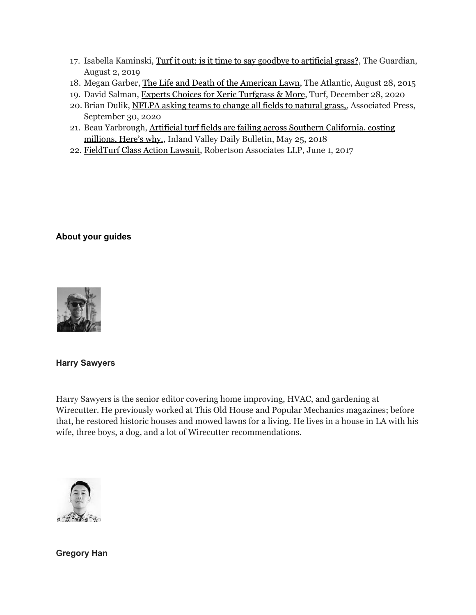- 17. Isabella Kaminski, Turf it out: is it time to say goodbye to [artificial](https://www.theguardian.com/cities/2019/aug/02/turf-it-out-is-it-time-to-say-goodbye-to-artificial-grass) grass?, The Guardian, August 2, 2019
- 18. Megan Garber, The Life and Death of the [American](https://www.theatlantic.com/entertainment/archive/2015/08/the-american-lawn-a-eulogy/402745/) Lawn, The Atlantic, August 28, 2015
- 19. David Salman, Experts Choices for Xeric [Turfgrass](https://www.turfmagazine.com/turfmagazine/landscape-trends/experts-choices-for-xeric-turfgrass-more/) & More, Turf, December 28, 2020
- 20. Brian Dulik, [NFLPA](https://apnews.com/article/nfl-football-archive-9b34d4402f2f82ae60708605f65aa560) asking teams to change all fields to natural grass,, Associated Press, September 30, 2020
- 21. Beau Yarbrough, Artificial turf fields are failing across Southern [California,](https://www.dailybulletin.com/2018/06/19/artificial-turf-fields-are-failing-across-southern-california-costing-millions-heres-why/) costing [millions.](https://www.dailybulletin.com/2018/06/19/artificial-turf-fields-are-failing-across-southern-california-costing-millions-heres-why/) Here's why., Inland Valley Daily Bulletin, May 25, 2018
- 22. [FieldTurf](https://arobertsonlaw.com/fieldturf-class-action-lawsuit) Class Action Lawsuit, Robertson Associates LLP, June 1, 2017

# **About your guides**



**Harry Sawyers**

Harry Sawyers is the senior editor covering home improving, HVAC, and gardening at Wirecutter. He previously worked at This Old House and Popular Mechanics magazines; before that, he restored historic houses and mowed lawns for a living. He lives in a house in LA with his wife, three boys, a dog, and a lot of Wirecutter recommendations.



**Gregory Han**